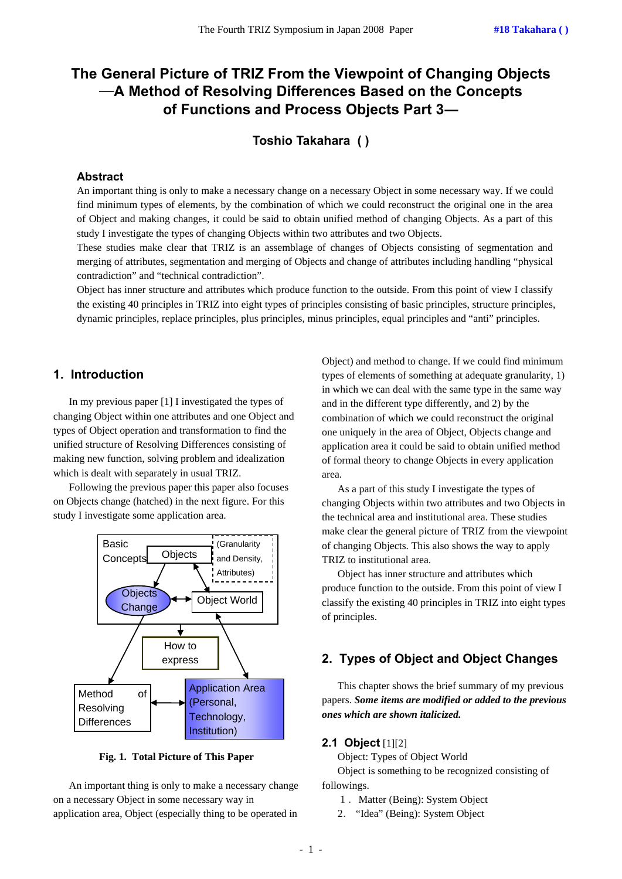# **The General Picture of TRIZ From the Viewpoint of Changing Objects**  ―**A Method of Resolving Differences Based on the Concepts of Functions and Process Objects Part 3―**

**Toshio Takahara ( )** 

# **Abstract**

An important thing is only to make a necessary change on a necessary Object in some necessary way. If we could find minimum types of elements, by the combination of which we could reconstruct the original one in the area of Object and making changes, it could be said to obtain unified method of changing Objects. As a part of this study I investigate the types of changing Objects within two attributes and two Objects.

These studies make clear that TRIZ is an assemblage of changes of Objects consisting of segmentation and merging of attributes, segmentation and merging of Objects and change of attributes including handling "physical contradiction" and "technical contradiction".

Object has inner structure and attributes which produce function to the outside. From this point of view I classify the existing 40 principles in TRIZ into eight types of principles consisting of basic principles, structure principles, dynamic principles, replace principles, plus principles, minus principles, equal principles and "anti" principles.

## **1. Introduction**

In my previous paper [1] I investigated the types of changing Object within one attributes and one Object and types of Object operation and transformation to find the unified structure of Resolving Differences consisting of making new function, solving problem and idealization which is dealt with separately in usual TRIZ.

Following the previous paper this paper also focuses on Objects change (hatched) in the next figure. For this study I investigate some application area.



**Fig. 1. Total Picture of This Paper** 

An important thing is only to make a necessary change on a necessary Object in some necessary way in application area, Object (especially thing to be operated in

Object) and method to change. If we could find minimum types of elements of something at adequate granularity, 1) in which we can deal with the same type in the same way and in the different type differently, and 2) by the combination of which we could reconstruct the original one uniquely in the area of Object, Objects change and application area it could be said to obtain unified method of formal theory to change Objects in every application area.

As a part of this study I investigate the types of changing Objects within two attributes and two Objects in the technical area and institutional area. These studies make clear the general picture of TRIZ from the viewpoint of changing Objects. This also shows the way to apply TRIZ to institutional area.

Object has inner structure and attributes which produce function to the outside. From this point of view I classify the existing 40 principles in TRIZ into eight types of principles.

## **2. Types of Object and Object Changes**

This chapter shows the brief summary of my previous papers. *Some items are modified or added to the previous ones which are shown italicized.*

#### **2.1 Object** [1][2]

Object: Types of Object World

Object is something to be recognized consisting of followings.

- 1. Matter (Being): System Object
- 2. "Idea" (Being): System Object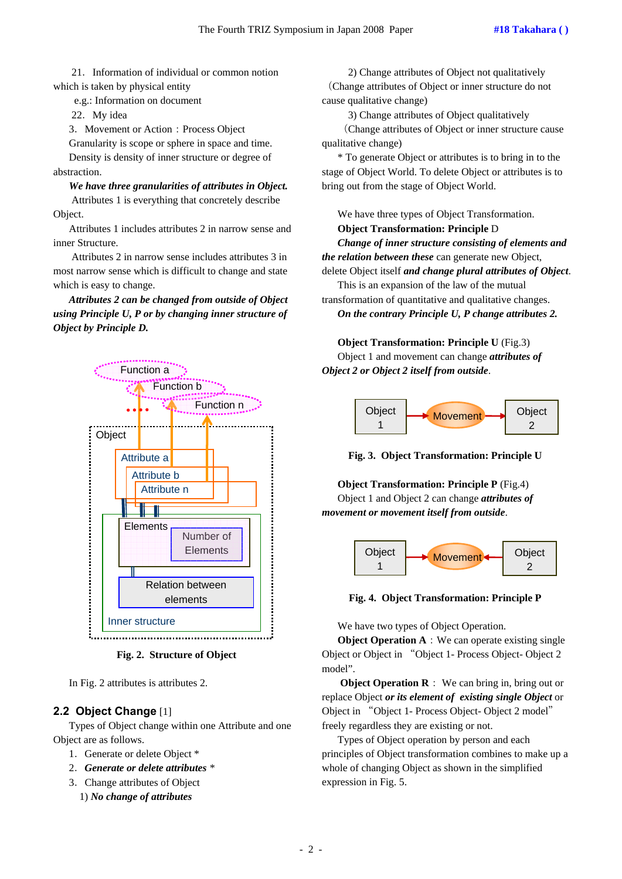21.Information of individual or common notion which is taken by physical entity

e.g.: Information on document

22.My idea

3. Movement or Action: Process Object

Granularity is scope or sphere in space and time. Density is density of inner structure or degree of abstraction.

*We have three granularities of attributes in Object.*  Attributes 1 is everything that concretely describe Object.

Attributes 1 includes attributes 2 in narrow sense and inner Structure.

 Attributes 2 in narrow sense includes attributes 3 in most narrow sense which is difficult to change and state which is easy to change.

*Attributes 2 can be changed from outside of Object using Principle U, P or by changing inner structure of Object by Principle D.* 



**Fig. 2. Structure of Object** 

In Fig. 2 attributes is attributes 2.

## **2.2 Object Change** [1]

Types of Object change within one Attribute and one Object are as follows.

- 1. Generate or delete Object \*
- 2.*Generate or delete attributes \**
- 3.Change attributes of Object
	- 1) *No change of attributes*

2) Change attributes of Object not qualitatively (Change attributes of Object or inner structure do not cause qualitative change)

3) Change attributes of Object qualitatively

(Change attributes of Object or inner structure cause qualitative change)

\* To generate Object or attributes is to bring in to the stage of Object World. To delete Object or attributes is to bring out from the stage of Object World.

We have three types of Object Transformation.

#### **Object Transformation: Principle** D

*Change of inner structure consisting of elements and the relation between these* can generate new Object,

delete Object itself *and change plural attributes of Object*. This is an expansion of the law of the mutual

transformation of quantitative and qualitative changes. *On the contrary Principle U, P change attributes 2.* 

**Object Transformation: Principle U** (Fig.3)

Object 1 and movement can change *attributes of Object 2 or Object 2 itself from outside*.



**Fig. 3. Object Transformation: Principle U** 

**Object Transformation: Principle P** (Fig.4) Object 1 and Object 2 can change *attributes of movement or movement itself from outside*.



**Fig. 4. Object Transformation: Principle P** 

We have two types of Object Operation.

**Object Operation A**: We can operate existing single Object or Object in "Object 1- Process Object- Object 2 model".

**Object Operation R**: We can bring in, bring out or replace Object *or its element of existing single Object* or Object in "Object 1- Process Object- Object 2 model" freely regardless they are existing or not.

Types of Object operation by person and each principles of Object transformation combines to make up a whole of changing Object as shown in the simplified expression in Fig. 5.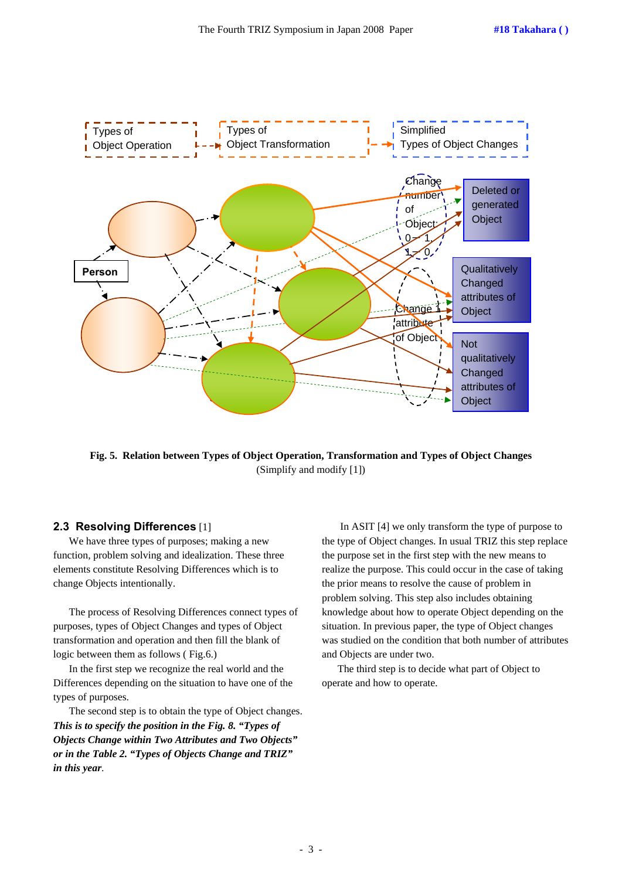

**Fig. 5. Relation between Types of Object Operation, Transformation and Types of Object Changes**  (Simplify and modify [1])

## **2.3 Resolving Differences** [1]

We have three types of purposes; making a new function, problem solving and idealization. These three elements constitute Resolving Differences which is to change Objects intentionally.

The process of Resolving Differences connect types of purposes, types of Object Changes and types of Object transformation and operation and then fill the blank of logic between them as follows ( Fig.6.)

In the first step we recognize the real world and the Differences depending on the situation to have one of the types of purposes.

The second step is to obtain the type of Object changes. *This is to specify the position in the Fig. 8. "Types of Objects Change within Two Attributes and Two Objects" or in the Table 2. "Types of Objects Change and TRIZ" in this year*.

 In ASIT [4] we only transform the type of purpose to the type of Object changes. In usual TRIZ this step replace the purpose set in the first step with the new means to realize the purpose. This could occur in the case of taking the prior means to resolve the cause of problem in problem solving. This step also includes obtaining knowledge about how to operate Object depending on the situation. In previous paper, the type of Object changes was studied on the condition that both number of attributes and Objects are under two.

The third step is to decide what part of Object to operate and how to operate.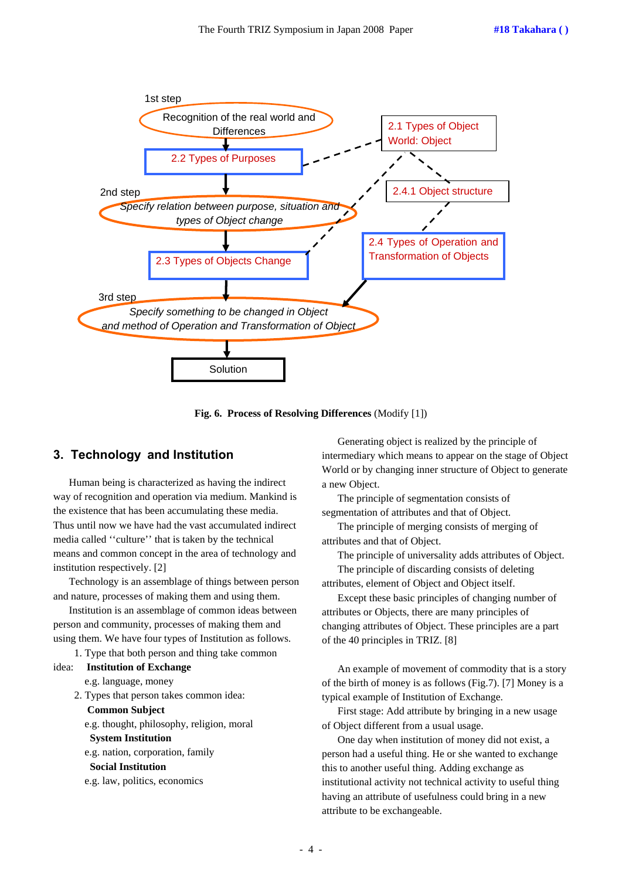

**Fig. 6. Process of Resolving Differences** (Modify [1])

# **3. Technology and Institution**

Human being is characterized as having the indirect way of recognition and operation via medium. Mankind is the existence that has been accumulating these media. Thus until now we have had the vast accumulated indirect media called ''culture'' that is taken by the technical means and common concept in the area of technology and institution respectively. [2]

Technology is an assemblage of things between person and nature, processes of making them and using them.

Institution is an assemblage of common ideas between person and community, processes of making them and using them. We have four types of Institution as follows.

1. Type that both person and thing take common

```
idea: Institution of Exchange
```
e.g. language, money

 2. Types that person takes common idea: **Common Subject** 

e.g. thought, philosophy, religion, moral

**System Institution** 

e.g. nation, corporation, family

#### **Social Institution**

e.g. law, politics, economics

Generating object is realized by the principle of intermediary which means to appear on the stage of Object World or by changing inner structure of Object to generate a new Object.

The principle of segmentation consists of segmentation of attributes and that of Object.

The principle of merging consists of merging of attributes and that of Object.

The principle of universality adds attributes of Object. The principle of discarding consists of deleting

attributes, element of Object and Object itself.

Except these basic principles of changing number of attributes or Objects, there are many principles of changing attributes of Object. These principles are a part of the 40 principles in TRIZ. [8]

An example of movement of commodity that is a story of the birth of money is as follows (Fig.7). [7] Money is a typical example of Institution of Exchange.

First stage: Add attribute by bringing in a new usage of Object different from a usual usage.

One day when institution of money did not exist, a person had a useful thing. He or she wanted to exchange this to another useful thing. Adding exchange as institutional activity not technical activity to useful thing having an attribute of usefulness could bring in a new attribute to be exchangeable.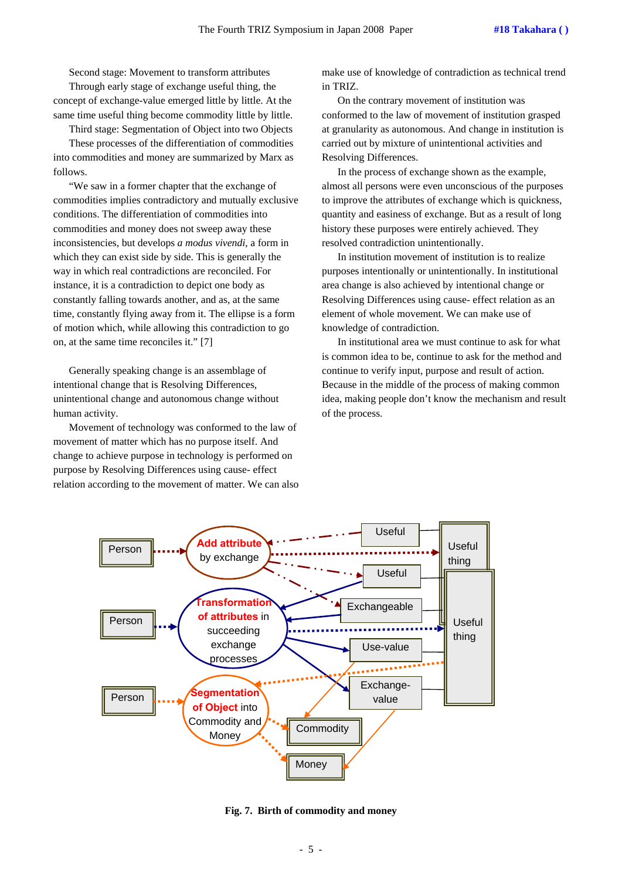Second stage: Movement to transform attributes Through early stage of exchange useful thing, the

concept of exchange-value emerged little by little. At the same time useful thing become commodity little by little.

Third stage: Segmentation of Object into two Objects These processes of the differentiation of commodities into commodities and money are summarized by Marx as follows.

"We saw in a former chapter that the exchange of commodities implies contradictory and mutually exclusive conditions. The differentiation of commodities into commodities and money does not sweep away these inconsistencies, but develops *a modus vivendi*, a form in which they can exist side by side. This is generally the way in which real contradictions are reconciled. For instance, it is a contradiction to depict one body as constantly falling towards another, and as, at the same time, constantly flying away from it. The ellipse is a form of motion which, while allowing this contradiction to go on, at the same time reconciles it." [7]

Generally speaking change is an assemblage of intentional change that is Resolving Differences, unintentional change and autonomous change without human activity.

Movement of technology was conformed to the law of movement of matter which has no purpose itself. And change to achieve purpose in technology is performed on purpose by Resolving Differences using cause- effect relation according to the movement of matter. We can also make use of knowledge of contradiction as technical trend in TRIZ.

On the contrary movement of institution was conformed to the law of movement of institution grasped at granularity as autonomous. And change in institution is carried out by mixture of unintentional activities and Resolving Differences.

In the process of exchange shown as the example, almost all persons were even unconscious of the purposes to improve the attributes of exchange which is quickness, quantity and easiness of exchange. But as a result of long history these purposes were entirely achieved. They resolved contradiction unintentionally.

In institution movement of institution is to realize purposes intentionally or unintentionally. In institutional area change is also achieved by intentional change or Resolving Differences using cause- effect relation as an element of whole movement. We can make use of knowledge of contradiction.

In institutional area we must continue to ask for what is common idea to be, continue to ask for the method and continue to verify input, purpose and result of action. Because in the middle of the process of making common idea, making people don't know the mechanism and result of the process.



**Fig. 7. Birth of commodity and money**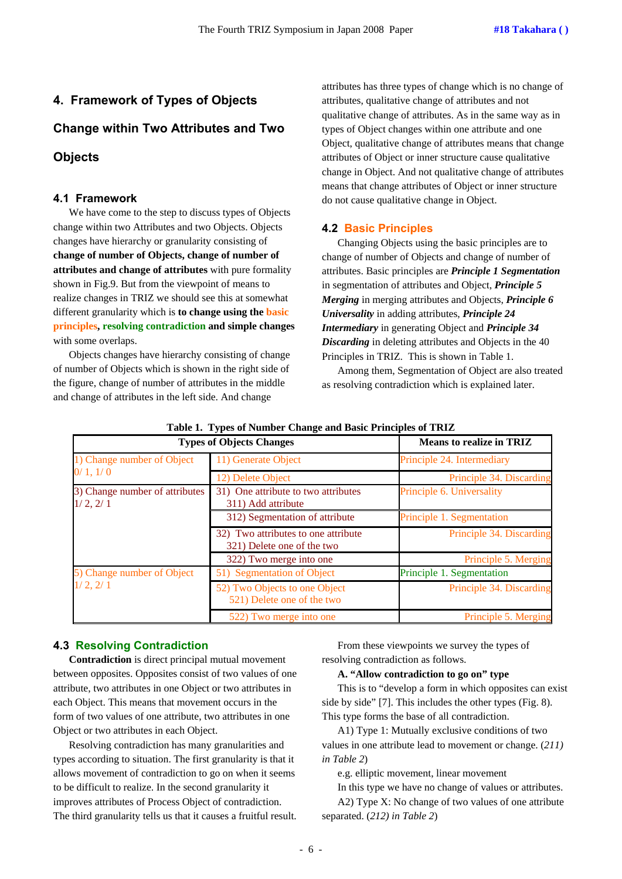# **4. Framework of Types of Objects**

# **Change within Two Attributes and Two**

# **Objects**

## **4.1 Framework**

We have come to the step to discuss types of Objects change within two Attributes and two Objects. Objects changes have hierarchy or granularity consisting of **change of number of Objects, change of number of attributes and change of attributes** with pure formality shown in Fig.9. But from the viewpoint of means to realize changes in TRIZ we should see this at somewhat different granularity which is **to change using the basic principles, resolving contradiction and simple changes**  with some overlaps.

Objects changes have hierarchy consisting of change of number of Objects which is shown in the right side of the figure, change of number of attributes in the middle and change of attributes in the left side. And change

attributes has three types of change which is no change of attributes, qualitative change of attributes and not qualitative change of attributes. As in the same way as in types of Object changes within one attribute and one Object, qualitative change of attributes means that change attributes of Object or inner structure cause qualitative change in Object. And not qualitative change of attributes means that change attributes of Object or inner structure do not cause qualitative change in Object.

# **4.2 Basic Principles**

Changing Objects using the basic principles are to change of number of Objects and change of number of attributes. Basic principles are *Principle 1 Segmentation* in segmentation of attributes and Object, *Principle 5 Merging* in merging attributes and Objects, *Principle 6 Universality* in adding attributes, *Principle 24 Intermediary* in generating Object and *Principle 34 Discarding* in deleting attributes and Objects in the 40 Principles in TRIZ. This is shown in Table 1.

Among them, Segmentation of Object are also treated as resolving contradiction which is explained later.

| <b>Types of Objects Changes</b>            | <b>Means to realize in TRIZ</b>                                   |                            |  |  |
|--------------------------------------------|-------------------------------------------------------------------|----------------------------|--|--|
| 1) Change number of Object                 | 11) Generate Object                                               | Principle 24. Intermediary |  |  |
| 0/1, 1/0                                   | 12) Delete Object                                                 | Principle 34. Discarding   |  |  |
| 3) Change number of attributes<br>1/2, 2/1 | 31) One attribute to two attributes<br>311) Add attribute         | Principle 6. Universality  |  |  |
|                                            | 312) Segmentation of attribute                                    | Principle 1. Segmentation  |  |  |
|                                            | 32) Two attributes to one attribute<br>321) Delete one of the two | Principle 34. Discarding   |  |  |
|                                            | 322) Two merge into one                                           | Principle 5. Merging       |  |  |
| 5) Change number of Object<br>1/2, 2/1     | 51) Segmentation of Object                                        | Principle 1. Segmentation  |  |  |
|                                            | 52) Two Objects to one Object<br>521) Delete one of the two       | Principle 34. Discarding   |  |  |
|                                            | 522) Two merge into one                                           | Principle 5. Merging       |  |  |

**Table 1. Types of Number Change and Basic Principles of TRIZ** 

## **4.3 Resolving Contradiction**

**Contradiction** is direct principal mutual movement between opposites. Opposites consist of two values of one attribute, two attributes in one Object or two attributes in each Object. This means that movement occurs in the form of two values of one attribute, two attributes in one Object or two attributes in each Object.

Resolving contradiction has many granularities and types according to situation. The first granularity is that it allows movement of contradiction to go on when it seems to be difficult to realize. In the second granularity it improves attributes of Process Object of contradiction. The third granularity tells us that it causes a fruitful result.

From these viewpoints we survey the types of resolving contradiction as follows.

#### **A. "Allow contradiction to go on" type**

This is to "develop a form in which opposites can exist side by side" [7]. This includes the other types (Fig. 8). This type forms the base of all contradiction.

A1) Type 1: Mutually exclusive conditions of two values in one attribute lead to movement or change. (*211) in Table 2*)

e.g. elliptic movement, linear movement

In this type we have no change of values or attributes. A2) Type X: No change of two values of one attribute separated. (*212) in Table 2*)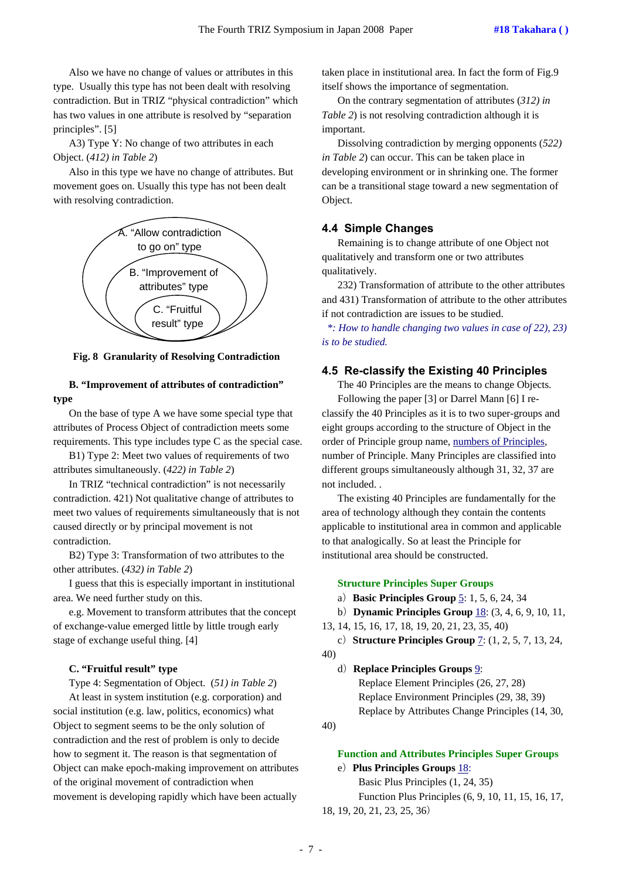Also we have no change of values or attributes in this type. Usually this type has not been dealt with resolving contradiction. But in TRIZ "physical contradiction" which has two values in one attribute is resolved by "separation principles". [5]

A3) Type Y: No change of two attributes in each Object. (*412) in Table 2*)

Also in this type we have no change of attributes. But movement goes on. Usually this type has not been dealt with resolving contradiction.



**Fig. 8 Granularity of Resolving Contradiction** 

## **B. "Improvement of attributes of contradiction" type**

On the base of type A we have some special type that attributes of Process Object of contradiction meets some requirements. This type includes type C as the special case.

B1) Type 2: Meet two values of requirements of two attributes simultaneously. (*422) in Table 2*)

In TRIZ "technical contradiction" is not necessarily contradiction. 421) Not qualitative change of attributes to meet two values of requirements simultaneously that is not caused directly or by principal movement is not contradiction.

B2) Type 3: Transformation of two attributes to the other attributes. (*432) in Table 2*)

I guess that this is especially important in institutional area. We need further study on this.

e.g. Movement to transform attributes that the concept of exchange-value emerged little by little trough early stage of exchange useful thing. [4]

#### **C. "Fruitful result" type**

Type 4: Segmentation of Object. (*51) in Table 2*)

At least in system institution (e.g. corporation) and social institution (e.g. law, politics, economics) what Object to segment seems to be the only solution of contradiction and the rest of problem is only to decide how to segment it. The reason is that segmentation of Object can make epoch-making improvement on attributes of the original movement of contradiction when movement is developing rapidly which have been actually

taken place in institutional area. In fact the form of Fig.9 itself shows the importance of segmentation.

On the contrary segmentation of attributes (*312) in Table 2*) is not resolving contradiction although it is important.

Dissolving contradiction by merging opponents (*522) in Table 2*) can occur. This can be taken place in developing environment or in shrinking one. The former can be a transitional stage toward a new segmentation of Object.

#### **4.4 Simple Changes**

Remaining is to change attribute of one Object not qualitatively and transform one or two attributes qualitatively.

232) Transformation of attribute to the other attributes and 431) Transformation of attribute to the other attributes if not contradiction are issues to be studied.

*\*: How to handle changing two values in case of 22), 23) is to be studied.* 

## **4.5 Re-classify the Existing 40 Principles**

The 40 Principles are the means to change Objects. Following the paper [3] or Darrel Mann [6] I reclassify the 40 Principles as it is to two super-groups and eight groups according to the structure of Object in the order of Principle group name, numbers of Principles, number of Principle. Many Principles are classified into different groups simultaneously although 31, 32, 37 are not included. .

The existing 40 Principles are fundamentally for the area of technology although they contain the contents applicable to institutional area in common and applicable to that analogically. So at least the Principle for institutional area should be constructed.

#### **Structure Principles Super Groups**

a)**Basic Principles Group** 5: 1, 5, 6, 24, 34

b)**Dynamic Principles Group** 18: (3, 4, 6, 9, 10, 11,

13, 14, 15, 16, 17, 18, 19, 20, 21, 23, 35, 40)

c)**Structure Principles Group** 7: (1, 2, 5, 7, 13, 24, 40)

d)**Replace Principles Groups** 9: Replace Element Principles (26, 27, 28) Replace Environment Principles (29, 38, 39) Replace by Attributes Change Principles (14, 30,

40)

# **Function and Attributes Principles Super Groups**

# e)**Plus Principles Groups** 18:

 Basic Plus Principles (1, 24, 35) Function Plus Principles (6, 9, 10, 11, 15, 16, 17, 18, 19, 20, 21, 23, 25, 36)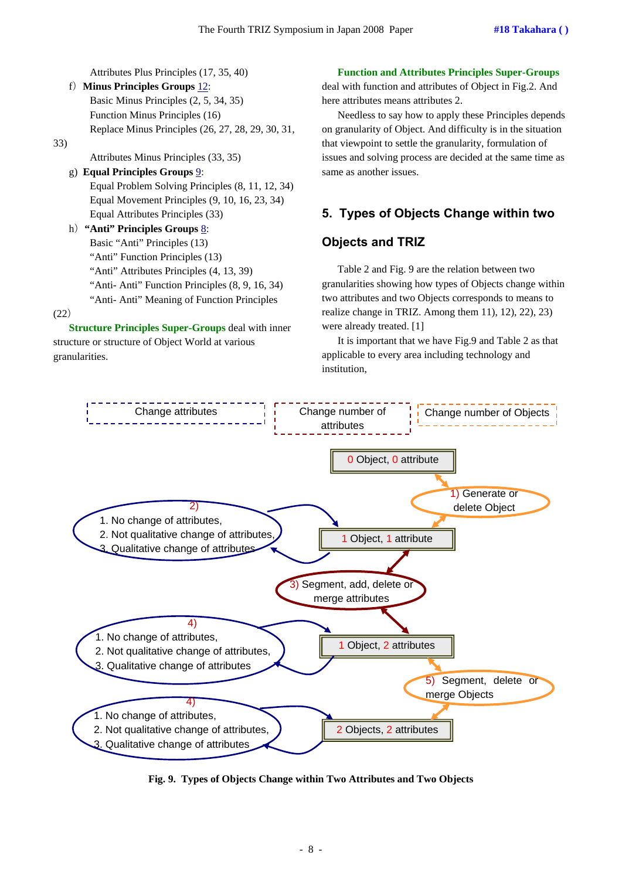Attributes Plus Principles (17, 35, 40)

f)**Minus Principles Groups** 12: Basic Minus Principles (2, 5, 34, 35) Function Minus Principles (16) Replace Minus Principles (26, 27, 28, 29, 30, 31, 33)

Attributes Minus Principles (33, 35)

#### g) **Equal Principles Groups** 9:

 Equal Problem Solving Principles (8, 11, 12, 34) Equal Movement Principles (9, 10, 16, 23, 34) Equal Attributes Principles (33)

h)**"Anti" Principles Groups** 8: Basic "Anti" Principles (13) "Anti" Function Principles (13) "Anti" Attributes Principles (4, 13, 39) "Anti- Anti" Function Principles (8, 9, 16, 34) "Anti- Anti" Meaning of Function Principles

(22)

**Structure Principles Super-Groups** deal with inner structure or structure of Object World at various granularities.

#### **Function and Attributes Principles Super-Groups**

deal with function and attributes of Object in Fig.2. And here attributes means attributes 2.

Needless to say how to apply these Principles depends on granularity of Object. And difficulty is in the situation that viewpoint to settle the granularity, formulation of issues and solving process are decided at the same time as same as another issues.

# **5. Types of Objects Change within two**

# **Objects and TRIZ**

Table 2 and Fig. 9 are the relation between two granularities showing how types of Objects change within two attributes and two Objects corresponds to means to realize change in TRIZ. Among them 11), 12), 22), 23) were already treated. [1]

It is important that we have Fig.9 and Table 2 as that applicable to every area including technology and institution,



**Fig. 9. Types of Objects Change within Two Attributes and Two Objects**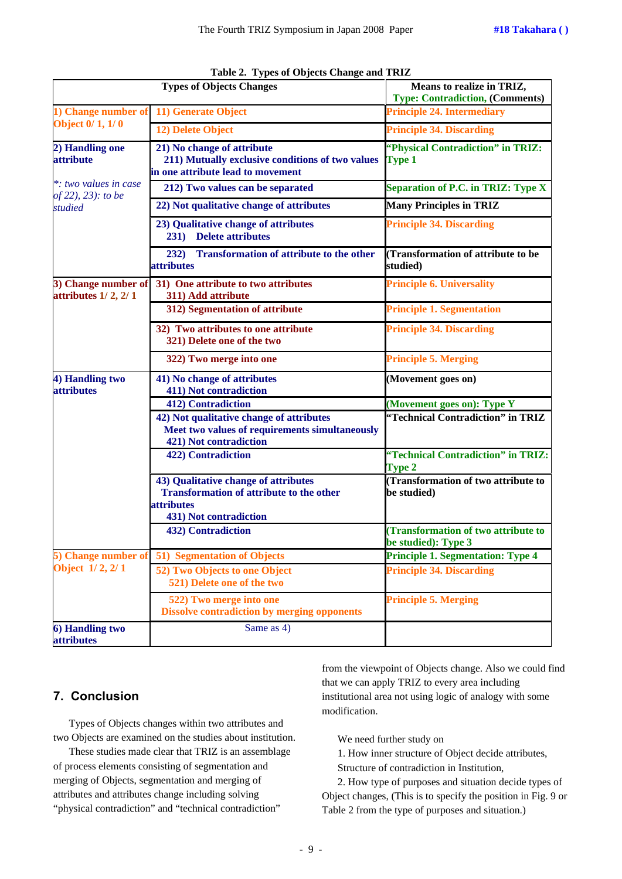|                                                 | <b>Types of Objects Changes</b>                                                                                                        | Means to realize in TRIZ,<br><b>Type: Contradiction, (Comments)</b> |  |  |
|-------------------------------------------------|----------------------------------------------------------------------------------------------------------------------------------------|---------------------------------------------------------------------|--|--|
| 1) Change number of                             | 11) Generate Object                                                                                                                    | <b>Principle 24. Intermediary</b>                                   |  |  |
| <b>Object 0/1, 1/0</b>                          | 12) Delete Object                                                                                                                      | <b>Principle 34. Discarding</b>                                     |  |  |
| 2) Handling one<br>attribute                    | 21) No change of attribute<br>211) Mutually exclusive conditions of two values<br>in one attribute lead to movement                    | "Physical Contradiction" in TRIZ:<br><b>Type 1</b>                  |  |  |
| *: two values in case<br>of 22), 23): to be     | 212) Two values can be separated                                                                                                       | Separation of P.C. in TRIZ: Type X                                  |  |  |
| studied                                         | 22) Not qualitative change of attributes                                                                                               | <b>Many Principles in TRIZ</b>                                      |  |  |
|                                                 | 23) Qualitative change of attributes<br>231) Delete attributes                                                                         | <b>Principle 34. Discarding</b>                                     |  |  |
|                                                 | <b>Transformation of attribute to the other</b><br>232)<br><i>attributes</i>                                                           | (Transformation of attribute to be<br>studied)                      |  |  |
| 3) Change number of<br>attributes $1/2$ , $2/1$ | 31) One attribute to two attributes<br>311) Add attribute                                                                              | <b>Principle 6. Universality</b>                                    |  |  |
|                                                 | 312) Segmentation of attribute                                                                                                         | <b>Principle 1. Segmentation</b>                                    |  |  |
|                                                 | 32) Two attributes to one attribute<br>321) Delete one of the two                                                                      | <b>Principle 34. Discarding</b>                                     |  |  |
|                                                 | 322) Two merge into one                                                                                                                | <b>Principle 5. Merging</b>                                         |  |  |
| 4) Handling two<br><i>attributes</i>            | 41) No change of attributes<br>411) Not contradiction                                                                                  | (Movement goes on)                                                  |  |  |
|                                                 | <b>412)</b> Contradiction                                                                                                              | (Movement goes on): Type Y                                          |  |  |
|                                                 | 42) Not qualitative change of attributes<br>Meet two values of requirements simultaneously<br>421) Not contradiction                   | "Technical Contradiction" in TRIZ                                   |  |  |
|                                                 | 422) Contradiction                                                                                                                     | "Technical Contradiction" in TRIZ:<br><b>Type 2</b>                 |  |  |
|                                                 | 43) Qualitative change of attributes<br><b>Transformation of attribute to the other</b><br><i>attributes</i><br>431) Not contradiction | (Transformation of two attribute to<br>be studied)                  |  |  |
|                                                 | <b>432)</b> Contradiction                                                                                                              | <b>Transformation of two attribute to</b><br>be studied): Type 3    |  |  |
| 5) Change number of                             | 51) Segmentation of Objects                                                                                                            | <b>Principle 1. Segmentation: Type 4</b>                            |  |  |
| Object 1/2, 2/1                                 | 52) Two Objects to one Object<br>521) Delete one of the two                                                                            | <b>Principle 34. Discarding</b>                                     |  |  |
|                                                 | 522) Two merge into one<br><b>Dissolve contradiction by merging opponents</b>                                                          | <b>Principle 5. Merging</b>                                         |  |  |
| 6) Handling two<br>attributes                   | Same as 4)                                                                                                                             |                                                                     |  |  |

| Table 2. Types of Objects Change and TRIZ |  |  |  |
|-------------------------------------------|--|--|--|
|                                           |  |  |  |

# **7. Conclusion**

Types of Objects changes within two attributes and two Objects are examined on the studies about institution.

These studies made clear that TRIZ is an assemblage of process elements consisting of segmentation and merging of Objects, segmentation and merging of attributes and attributes change including solving "physical contradiction" and "technical contradiction"

from the viewpoint of Objects change. Also we could find that we can apply TRIZ to every area including institutional area not using logic of analogy with some modification.

We need further study on

1. How inner structure of Object decide attributes,

Structure of contradiction in Institution,

2. How type of purposes and situation decide types of Object changes, (This is to specify the position in Fig. 9 or Table 2 from the type of purposes and situation.)